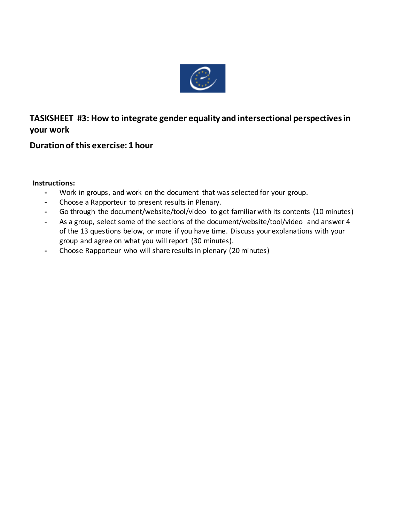

## **TASKSHEET #3: How to integrate gender equality and intersectional perspectives in your work**

## **Duration of this exercise: 1 hour**

## **Instructions:**

- **-** Work in groups, and work on the document that was selected for your group.
- **-** Choose a Rapporteur to present results in Plenary.
- **-** Go through the document/website/tool/video to get familiar with its contents (10 minutes)
- **-** As a group, select some of the sections of the document/website/tool/video and answer 4 of the 13 questions below, or more if you have time. Discuss your explanations with your group and agree on what you will report (30 minutes).
- **-** Choose Rapporteur who will share results in plenary (20 minutes)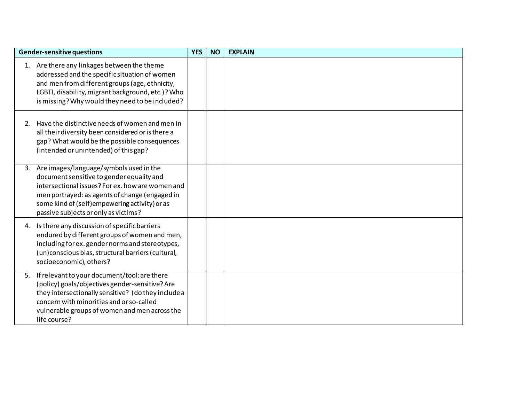| Gender-sensitive questions |                                                                                                                                                                                                                                                                                         | <b>YES</b> | <b>NO</b> | <b>EXPLAIN</b> |
|----------------------------|-----------------------------------------------------------------------------------------------------------------------------------------------------------------------------------------------------------------------------------------------------------------------------------------|------------|-----------|----------------|
|                            | 1. Are there any linkages between the theme<br>addressed and the specific situation of women<br>and men from different groups (age, ethnicity,<br>LGBTI, disability, migrant background, etc.)? Who<br>is missing? Why would they need to be included?                                  |            |           |                |
| 2.                         | Have the distinctive needs of women and men in<br>all their diversity been considered or is there a<br>gap? What would be the possible consequences<br>(intended or unintended) of this gap?                                                                                            |            |           |                |
|                            | 3. Are images/language/symbols used in the<br>document sensitive to gender equality and<br>intersectional issues? For ex. how are women and<br>men portrayed: as agents of change (engaged in<br>some kind of (self) empowering activity) or as<br>passive subjects or only as victims? |            |           |                |
| 4.                         | Is there any discussion of specific barriers<br>endured by different groups of women and men,<br>including for ex. gender norms and stereotypes,<br>(un) conscious bias, structural barriers (cultural,<br>socioeconomic), others?                                                      |            |           |                |
| 5.                         | If relevant to your document/tool: are there<br>(policy) goals/objectives gender-sensitive? Are<br>they intersectionally sensitive? (do they include a<br>concern with minorities and or so-called<br>vulnerable groups of women and men across the<br>life course?                     |            |           |                |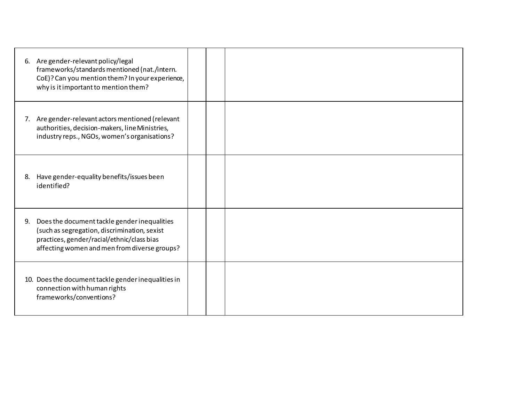|    | 6. Are gender-relevant policy/legal<br>frameworks/standards mentioned (nat./intern.<br>CoE)? Can you mention them? In your experience,<br>why is it important to mention them?             |  |  |
|----|--------------------------------------------------------------------------------------------------------------------------------------------------------------------------------------------|--|--|
|    | 7. Are gender-relevant actors mentioned (relevant<br>authorities, decision-makers, line Ministries,<br>industry reps., NGOs, women's organisations?                                        |  |  |
| 8. | Have gender-equality benefits/issues been<br>identified?                                                                                                                                   |  |  |
| 9. | Does the document tackle gender inequalities<br>(such as segregation, discrimination, sexist<br>practices, gender/racial/ethnic/class bias<br>affecting women and men from diverse groups? |  |  |
|    | 10. Does the document tackle gender inequalities in<br>connection with human rights<br>frameworks/conventions?                                                                             |  |  |